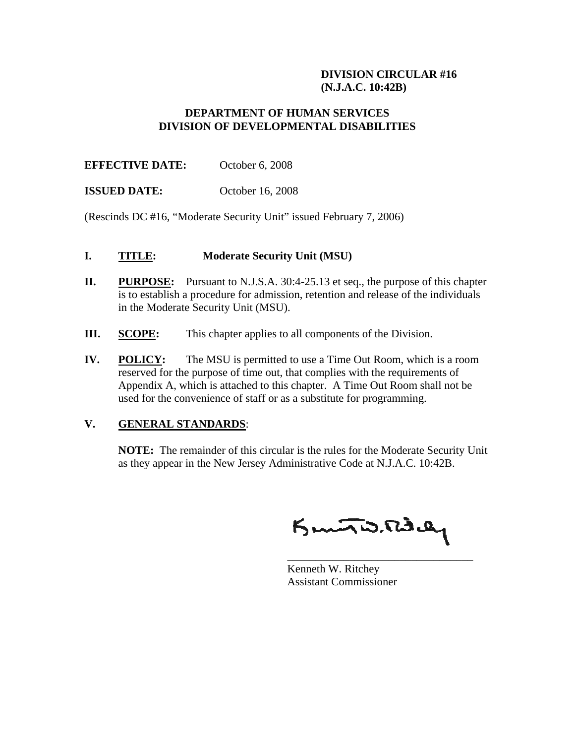#### **DIVISION CIRCULAR #16 (N.J.A.C. 10:42B)**

### **DEPARTMENT OF HUMAN SERVICES DIVISION OF DEVELOPMENTAL DISABILITIES**

**EFFECTIVE DATE:** October 6, 2008

**ISSUED DATE:** October 16, 2008

(Rescinds DC #16, "Moderate Security Unit" issued February 7, 2006)

### **I. TITLE: Moderate Security Unit (MSU)**

- **II.** PURPOSE: Pursuant to N.J.S.A. 30:4-25.13 et seq., the purpose of this chapter is to establish a procedure for admission, retention and release of the individuals in the Moderate Security Unit (MSU).
- **III. SCOPE:** This chapter applies to all components of the Division.
- **IV. POLICY:** The MSU is permitted to use a Time Out Room, which is a room reserved for the purpose of time out, that complies with the requirements of Appendix A, which is attached to this chapter. A Time Out Room shall not be used for the convenience of staff or as a substitute for programming.

 $\overline{\phantom{a}}$  , and the contract of the contract of the contract of the contract of the contract of the contract of the contract of the contract of the contract of the contract of the contract of the contract of the contrac

## **V. GENERAL STANDARDS**:

 **NOTE:** The remainder of this circular is the rules for the Moderate Security Unit as they appear in the New Jersey Administrative Code at N.J.A.C. 10:42B.

Kuntis. Rd.ay

 Kenneth W. Ritchey Assistant Commissioner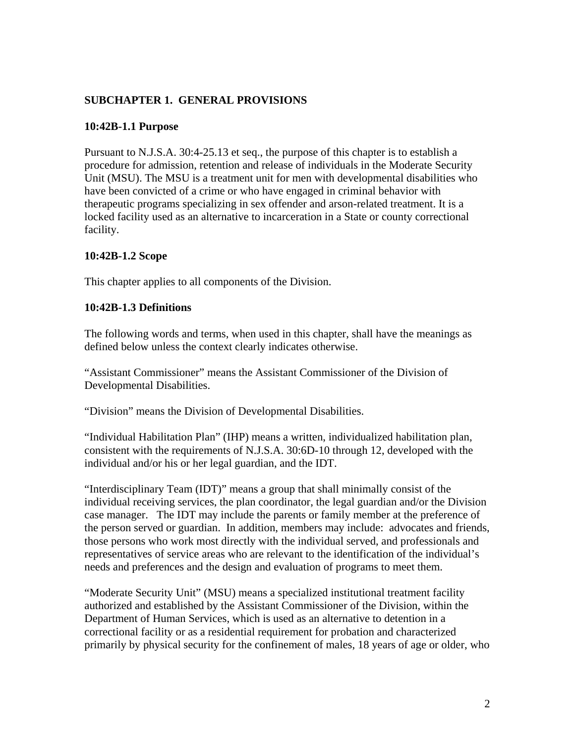## **SUBCHAPTER 1. GENERAL PROVISIONS**

### **10:42B-1.1 Purpose**

Pursuant to N.J.S.A. 30:4-25.13 et seq., the purpose of this chapter is to establish a procedure for admission, retention and release of individuals in the Moderate Security Unit (MSU). The MSU is a treatment unit for men with developmental disabilities who have been convicted of a crime or who have engaged in criminal behavior with therapeutic programs specializing in sex offender and arson-related treatment. It is a locked facility used as an alternative to incarceration in a State or county correctional facility.

### **10:42B-1.2 Scope**

This chapter applies to all components of the Division.

### **10:42B-1.3 Definitions**

The following words and terms, when used in this chapter, shall have the meanings as defined below unless the context clearly indicates otherwise.

"Assistant Commissioner" means the Assistant Commissioner of the Division of Developmental Disabilities.

"Division" means the Division of Developmental Disabilities.

"Individual Habilitation Plan" (IHP) means a written, individualized habilitation plan, consistent with the requirements of N.J.S.A. 30:6D-10 through 12, developed with the individual and/or his or her legal guardian, and the IDT.

"Interdisciplinary Team (IDT)" means a group that shall minimally consist of the individual receiving services, the plan coordinator, the legal guardian and/or the Division case manager. The IDT may include the parents or family member at the preference of the person served or guardian. In addition, members may include: advocates and friends, those persons who work most directly with the individual served, and professionals and representatives of service areas who are relevant to the identification of the individual's needs and preferences and the design and evaluation of programs to meet them.

"Moderate Security Unit" (MSU) means a specialized institutional treatment facility authorized and established by the Assistant Commissioner of the Division, within the Department of Human Services, which is used as an alternative to detention in a correctional facility or as a residential requirement for probation and characterized primarily by physical security for the confinement of males, 18 years of age or older, who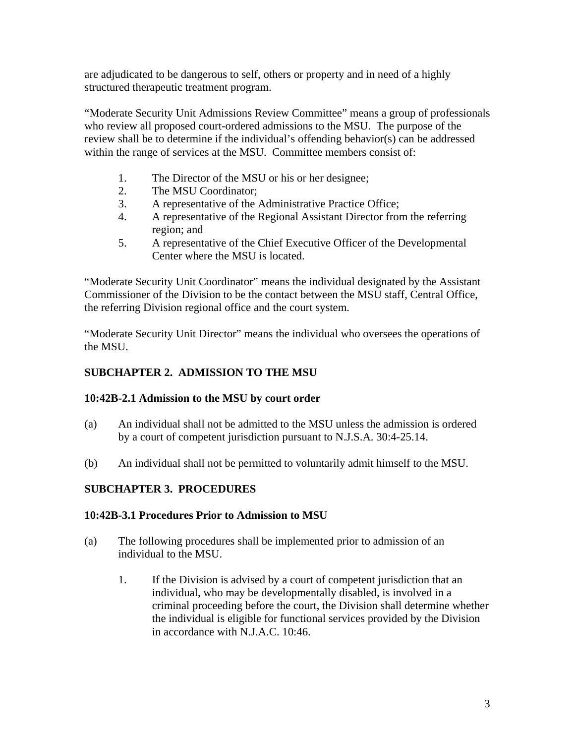are adjudicated to be dangerous to self, others or property and in need of a highly structured therapeutic treatment program.

"Moderate Security Unit Admissions Review Committee" means a group of professionals who review all proposed court-ordered admissions to the MSU. The purpose of the review shall be to determine if the individual's offending behavior(s) can be addressed within the range of services at the MSU. Committee members consist of:

- 1. The Director of the MSU or his or her designee;
- 2. The MSU Coordinator;
- 3. A representative of the Administrative Practice Office;
- 4. A representative of the Regional Assistant Director from the referring region; and
- 5. A representative of the Chief Executive Officer of the Developmental Center where the MSU is located.

"Moderate Security Unit Coordinator" means the individual designated by the Assistant Commissioner of the Division to be the contact between the MSU staff, Central Office, the referring Division regional office and the court system.

"Moderate Security Unit Director" means the individual who oversees the operations of the MSU.

# **SUBCHAPTER 2. ADMISSION TO THE MSU**

## **10:42B-2.1 Admission to the MSU by court order**

- (a) An individual shall not be admitted to the MSU unless the admission is ordered by a court of competent jurisdiction pursuant to N.J.S.A. 30:4-25.14.
- (b) An individual shall not be permitted to voluntarily admit himself to the MSU.

# **SUBCHAPTER 3. PROCEDURES**

## **10:42B-3.1 Procedures Prior to Admission to MSU**

- (a) The following procedures shall be implemented prior to admission of an individual to the MSU.
	- 1. If the Division is advised by a court of competent jurisdiction that an individual, who may be developmentally disabled, is involved in a criminal proceeding before the court, the Division shall determine whether the individual is eligible for functional services provided by the Division in accordance with N.J.A.C. 10:46.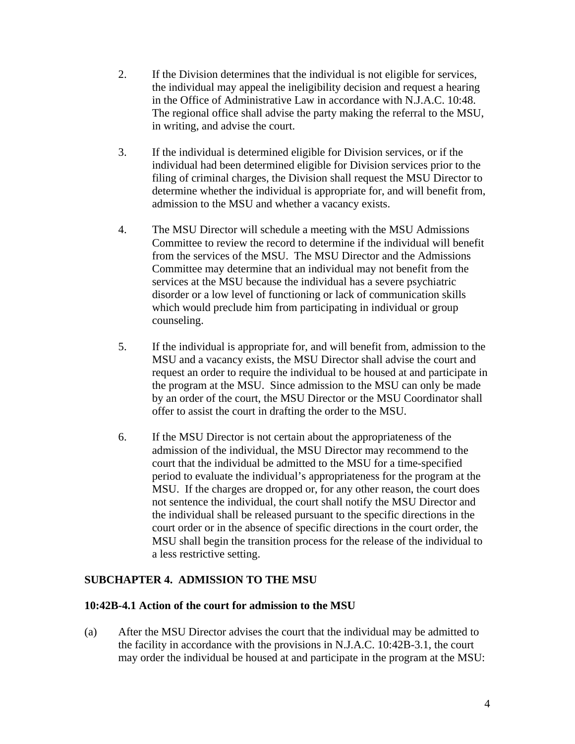- 2. If the Division determines that the individual is not eligible for services, the individual may appeal the ineligibility decision and request a hearing in the Office of Administrative Law in accordance with N.J.A.C. 10:48. The regional office shall advise the party making the referral to the MSU, in writing, and advise the court.
- 3. If the individual is determined eligible for Division services, or if the individual had been determined eligible for Division services prior to the filing of criminal charges, the Division shall request the MSU Director to determine whether the individual is appropriate for, and will benefit from, admission to the MSU and whether a vacancy exists.
- 4. The MSU Director will schedule a meeting with the MSU Admissions Committee to review the record to determine if the individual will benefit from the services of the MSU. The MSU Director and the Admissions Committee may determine that an individual may not benefit from the services at the MSU because the individual has a severe psychiatric disorder or a low level of functioning or lack of communication skills which would preclude him from participating in individual or group counseling.
- 5. If the individual is appropriate for, and will benefit from, admission to the MSU and a vacancy exists, the MSU Director shall advise the court and request an order to require the individual to be housed at and participate in the program at the MSU. Since admission to the MSU can only be made by an order of the court, the MSU Director or the MSU Coordinator shall offer to assist the court in drafting the order to the MSU.
- 6. If the MSU Director is not certain about the appropriateness of the admission of the individual, the MSU Director may recommend to the court that the individual be admitted to the MSU for a time-specified period to evaluate the individual's appropriateness for the program at the MSU. If the charges are dropped or, for any other reason, the court does not sentence the individual, the court shall notify the MSU Director and the individual shall be released pursuant to the specific directions in the court order or in the absence of specific directions in the court order, the MSU shall begin the transition process for the release of the individual to a less restrictive setting.

## **SUBCHAPTER 4. ADMISSION TO THE MSU**

## **10:42B-4.1 Action of the court for admission to the MSU**

(a) After the MSU Director advises the court that the individual may be admitted to the facility in accordance with the provisions in N.J.A.C. 10:42B-3.1, the court may order the individual be housed at and participate in the program at the MSU: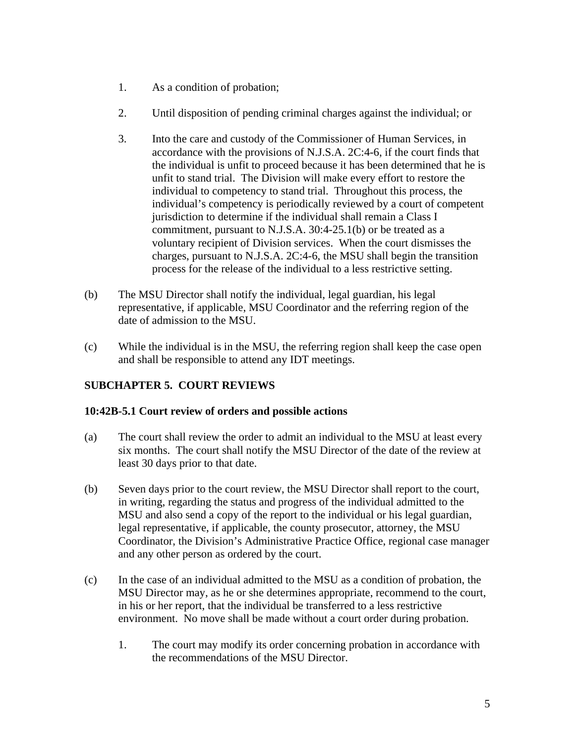- 1. As a condition of probation;
- 2. Until disposition of pending criminal charges against the individual; or
- 3. Into the care and custody of the Commissioner of Human Services, in accordance with the provisions of N.J.S.A. 2C:4-6, if the court finds that the individual is unfit to proceed because it has been determined that he is unfit to stand trial. The Division will make every effort to restore the individual to competency to stand trial. Throughout this process, the individual's competency is periodically reviewed by a court of competent jurisdiction to determine if the individual shall remain a Class I commitment, pursuant to N.J.S.A. 30:4-25.1(b) or be treated as a voluntary recipient of Division services. When the court dismisses the charges, pursuant to N.J.S.A. 2C:4-6, the MSU shall begin the transition process for the release of the individual to a less restrictive setting.
- (b) The MSU Director shall notify the individual, legal guardian, his legal representative, if applicable, MSU Coordinator and the referring region of the date of admission to the MSU.
- (c) While the individual is in the MSU, the referring region shall keep the case open and shall be responsible to attend any IDT meetings.

# **SUBCHAPTER 5. COURT REVIEWS**

## **10:42B-5.1 Court review of orders and possible actions**

- (a) The court shall review the order to admit an individual to the MSU at least every six months. The court shall notify the MSU Director of the date of the review at least 30 days prior to that date.
- (b) Seven days prior to the court review, the MSU Director shall report to the court, in writing, regarding the status and progress of the individual admitted to the MSU and also send a copy of the report to the individual or his legal guardian, legal representative, if applicable, the county prosecutor, attorney, the MSU Coordinator, the Division's Administrative Practice Office, regional case manager and any other person as ordered by the court.
- (c) In the case of an individual admitted to the MSU as a condition of probation, the MSU Director may, as he or she determines appropriate, recommend to the court, in his or her report, that the individual be transferred to a less restrictive environment. No move shall be made without a court order during probation.
	- 1. The court may modify its order concerning probation in accordance with the recommendations of the MSU Director.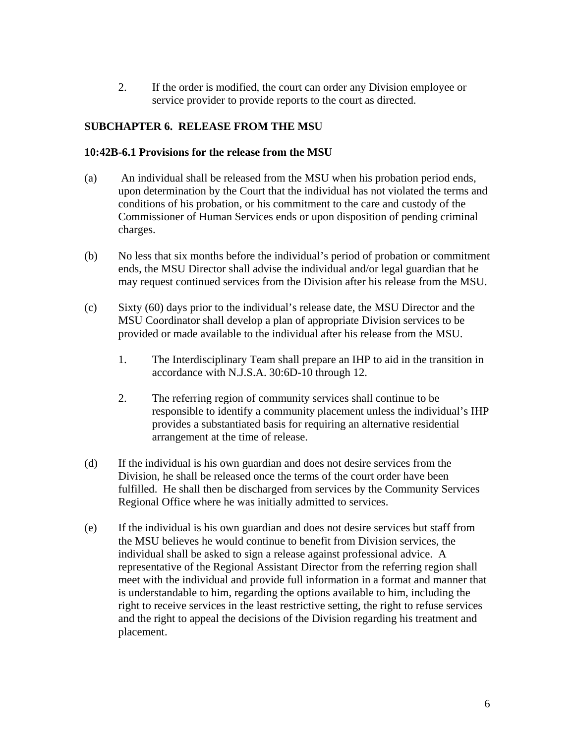2. If the order is modified, the court can order any Division employee or service provider to provide reports to the court as directed.

## **SUBCHAPTER 6. RELEASE FROM THE MSU**

### **10:42B-6.1 Provisions for the release from the MSU**

- (a) An individual shall be released from the MSU when his probation period ends, upon determination by the Court that the individual has not violated the terms and conditions of his probation, or his commitment to the care and custody of the Commissioner of Human Services ends or upon disposition of pending criminal charges.
- (b) No less that six months before the individual's period of probation or commitment ends, the MSU Director shall advise the individual and/or legal guardian that he may request continued services from the Division after his release from the MSU.
- (c) Sixty (60) days prior to the individual's release date, the MSU Director and the MSU Coordinator shall develop a plan of appropriate Division services to be provided or made available to the individual after his release from the MSU.
	- 1. The Interdisciplinary Team shall prepare an IHP to aid in the transition in accordance with N.J.S.A. 30:6D-10 through 12.
	- 2. The referring region of community services shall continue to be responsible to identify a community placement unless the individual's IHP provides a substantiated basis for requiring an alternative residential arrangement at the time of release.
- (d) If the individual is his own guardian and does not desire services from the Division, he shall be released once the terms of the court order have been fulfilled. He shall then be discharged from services by the Community Services Regional Office where he was initially admitted to services.
- (e) If the individual is his own guardian and does not desire services but staff from the MSU believes he would continue to benefit from Division services, the individual shall be asked to sign a release against professional advice. A representative of the Regional Assistant Director from the referring region shall meet with the individual and provide full information in a format and manner that is understandable to him, regarding the options available to him, including the right to receive services in the least restrictive setting, the right to refuse services and the right to appeal the decisions of the Division regarding his treatment and placement.